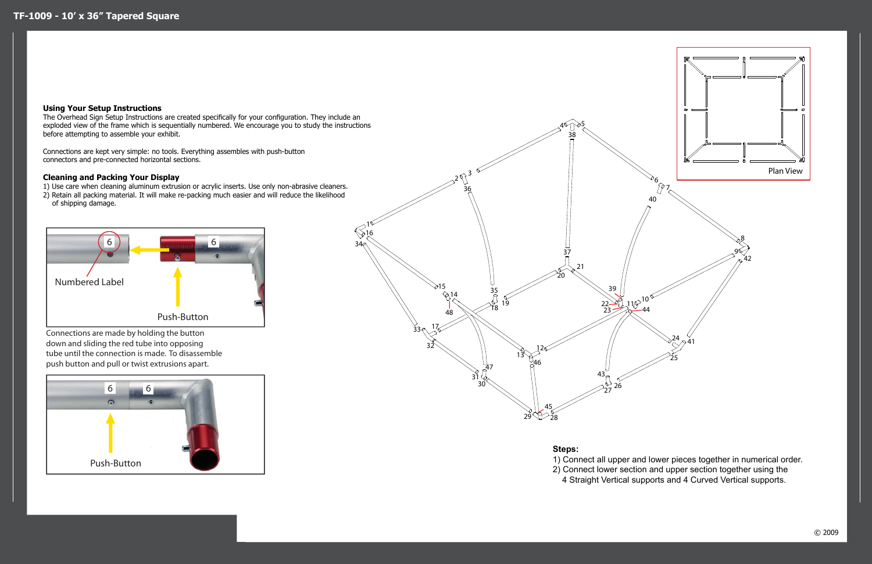Connections are made by holding the button down and sliding the red tube into opposing tube until the connection is made. To disassemble push button and pull or twist extrusions apart.





## **Using Your Setup Instructions**

The Overhead Sign Setup Instructions are created specifically for your configuration. They include an exploded view of the frame which is sequentially numbered. We encourage you to study the instructions before attempting to assemble your exhibit.

Connections are kept very simple: no tools. Everything assembles with push-button connectors and pre-connected horizontal sections.

## **Cleaning and Packing Your Display**

1) Use care when cleaning aluminum extrusion or acrylic inserts. Use only non-abrasive cleaners. 2) Retain all packing material. It will make re-packing much easier and will reduce the likelihood

of shipping damage.

## **Steps:**

1) Connect all upper and lower pieces together in numerical order. 2) Connect lower section and upper section together using the 4 Straight Vertical supports and 4 Curved Vertical supports.